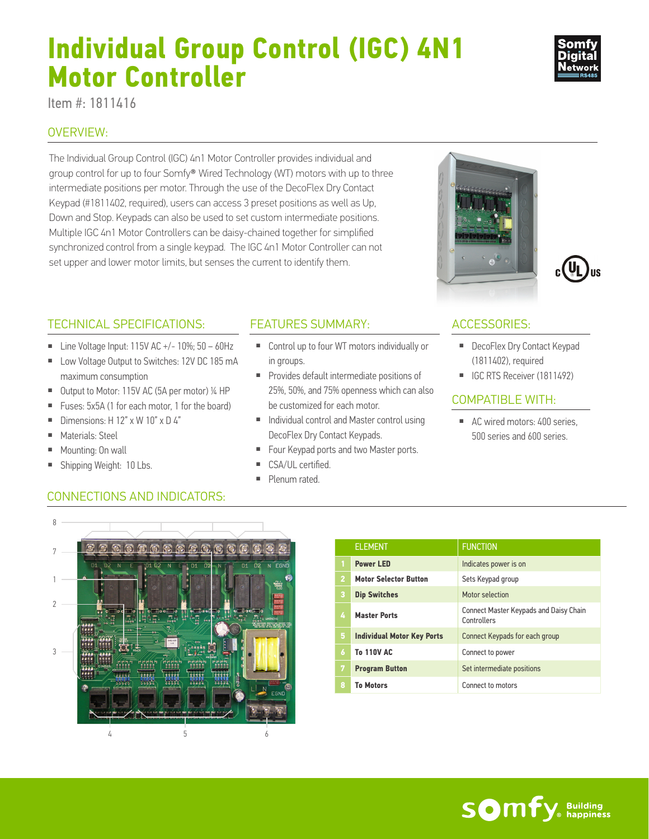# **Individual Group Control (IGC) 4N1 Motor Controller**

Item #: 1811416

## OVERVIEW:

The Individual Group Control (IGC) 4n1 Motor Controller provides individual and group control for up to four Somfy® Wired Technology (WT) motors with up to three intermediate positions per motor. Through the use of the DecoFlex Dry Contact Keypad (#1811402, required), users can access 3 preset positions as well as Up, Down and Stop. Keypads can also be used to set custom intermediate positions. Multiple IGC 4n1 Motor Controllers can be daisy-chained together for simplified synchronized control from a single keypad. The IGC 4n1 Motor Controller can not set upper and lower motor limits, but senses the current to identify them.

### FEATURES SUMMARY: ACCESSORIES:

- Control up to four WT motors individually or in groups.
- Provides default intermediate positions of 25%, 50%, and 75% openness which can also be customized for each motor.
- Individual control and Master control using DecoFlex Dry Contact Keypads.
- Four Keypad ports and two Master ports.
- CSA/UL certified.
- Plenum rated.

- DecoFlex Dry Contact Keypad (1811402), required
- IGC RTS Receiver (1811492)

## COMPATIBLE WITH:

■ AC wired motors: 400 series, 500 series and 600 series.



TECHNICAL SPECIFICATIONS:

maximum consumption

■ Materials: Steel ■ Mounting: 0n wall ■ Shipping Weight: 10 Lbs.

**■** Dimensions:  $H$  12"  $\times$  W 10"  $\times$  D 4"

■ Line Voltage Input: 115V AC  $+/- 10\%$ ; 50 – 60Hz ■ Low Voltage Output to Switches: 12V DC 185 mA

■ Output to Motor: 115V AC (5A per motor) ¼ HP ■ Fuses: 5x5A (1 for each motor, 1 for the board)



|                | <b>ELEMENT</b>                    | <b>FUNCTION</b>                                       |
|----------------|-----------------------------------|-------------------------------------------------------|
|                | <b>Power LED</b>                  | Indicates power is on                                 |
| $\overline{2}$ | <b>Motor Selector Button</b>      | Sets Keypad group                                     |
| 3              | <b>Dip Switches</b>               | Motor selection                                       |
| 4              | <b>Master Ports</b>               | Connect Master Keypads and Daisy Chain<br>Controllers |
| 5              | <b>Individual Motor Key Ports</b> | Connect Keypads for each group                        |
| 6              | <b>To 110V AC</b>                 | Connect to power                                      |
| 7              | <b>Program Button</b>             | Set intermediate positions                            |
| 8              | <b>To Motors</b>                  | Connect to motors                                     |